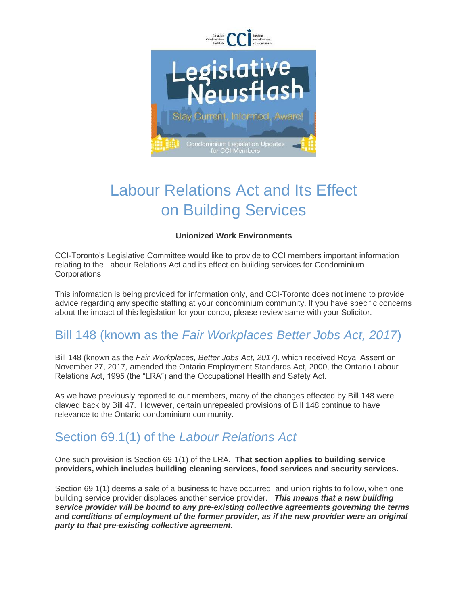

# Labour Relations Act and Its Effect on Building Services

#### **Unionized Work Environments**

CCI-Toronto's Legislative Committee would like to provide to CCI members important information relating to the Labour Relations Act and its effect on building services for Condominium Corporations.

This information is being provided for information only, and CCI-Toronto does not intend to provide advice regarding any specific staffing at your condominium community. If you have specific concerns about the impact of this legislation for your condo, please review same with your Solicitor.

## Bill 148 (known as the *Fair Workplaces Better Jobs Act, 2017*)

Bill 148 (known as the *Fair Workplaces, Better Jobs Act, 2017)*, which received Royal Assent on November 27, 2017*,* amended the Ontario Employment Standards Act, 2000, the Ontario Labour Relations Act, 1995 (the "LRA") and the Occupational Health and Safety Act.

As we have previously reported to our members, many of the changes effected by Bill 148 were clawed back by Bill 47. However, certain unrepealed provisions of Bill 148 continue to have relevance to the Ontario condominium community.

#### Section 69.1(1) of the *Labour Relations Act*

One such provision is Section 69.1(1) of the LRA. **That section applies to building service providers, which includes building cleaning services, food services and security services.**

Section 69.1(1) deems a sale of a business to have occurred, and union rights to follow, when one building service provider displaces another service provider. *This means that a new building service provider will be bound to any pre-existing collective agreements governing the terms and conditions of employment of the former provider, as if the new provider were an original party to that pre-existing collective agreement.*